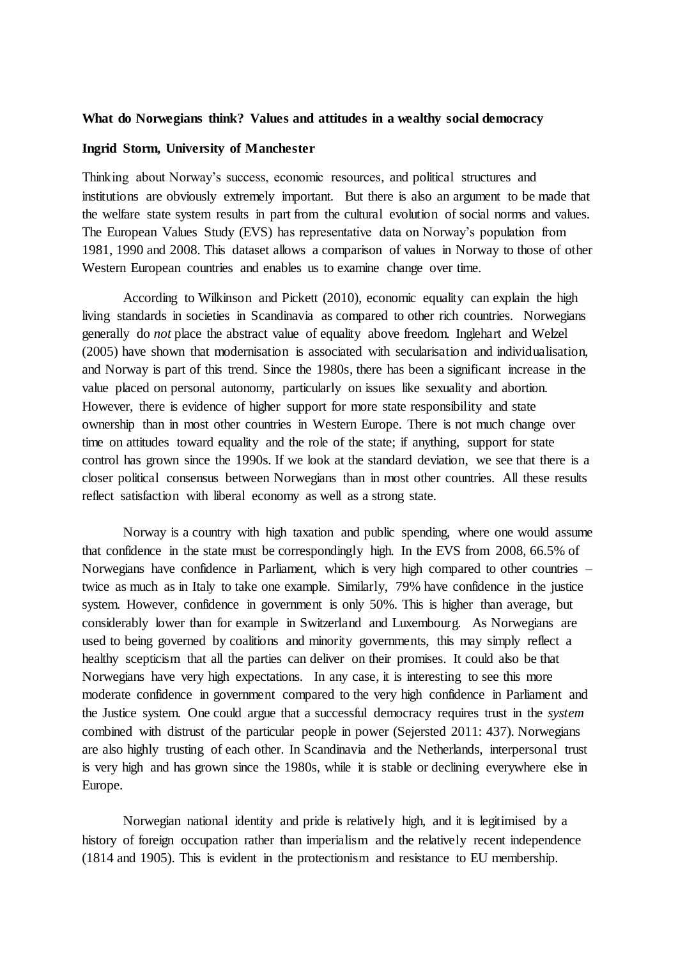## **What do Norwegians think? Values and attitudes in a wealthy social democracy**

## **Ingrid Storm, University of Manchester**

Thinking about Norway's success, economic resources, and political structures and institutions are obviously extremely important. But there is also an argument to be made that the welfare state system results in part from the cultural evolution of social norms and values. The European Values Study (EVS) has representative data on Norway's population from 1981, 1990 and 2008. This dataset allows a comparison of values in Norway to those of other Western European countries and enables us to examine change over time.

According to Wilkinson and Pickett (2010), economic equality can explain the high living standards in societies in Scandinavia as compared to other rich countries. Norwegians generally do *not* place the abstract value of equality above freedom. Inglehart and Welzel (2005) have shown that modernisation is associated with secularisation and individualisation, and Norway is part of this trend. Since the 1980s, there has been a significant increase in the value placed on personal autonomy, particularly on issues like sexuality and abortion. However, there is evidence of higher support for more state responsibility and state ownership than in most other countries in Western Europe. There is not much change over time on attitudes toward equality and the role of the state; if anything, support for state control has grown since the 1990s. If we look at the standard deviation, we see that there is a closer political consensus between Norwegians than in most other countries. All these results reflect satisfaction with liberal economy as well as a strong state.

Norway is a country with high taxation and public spending, where one would assume that confidence in the state must be correspondingly high. In the EVS from 2008, 66.5% of Norwegians have confidence in Parliament, which is very high compared to other countries – twice as much as in Italy to take one example. Similarly, 79% have confidence in the justice system. However, confidence in government is only 50%. This is higher than average, but considerably lower than for example in Switzerland and Luxembourg. As Norwegians are used to being governed by coalitions and minority governments, this may simply reflect a healthy scepticism that all the parties can deliver on their promises. It could also be that Norwegians have very high expectations. In any case, it is interesting to see this more moderate confidence in government compared to the very high confidence in Parliament and the Justice system. One could argue that a successful democracy requires trust in the *system* combined with distrust of the particular people in power (Sejersted 2011: 437). Norwegians are also highly trusting of each other. In Scandinavia and the Netherlands, interpersonal trust is very high and has grown since the 1980s, while it is stable or declining everywhere else in Europe.

Norwegian national identity and pride is relatively high, and it is legitimised by a history of foreign occupation rather than imperialism and the relatively recent independence (1814 and 1905). This is evident in the protectionism and resistance to EU membership.